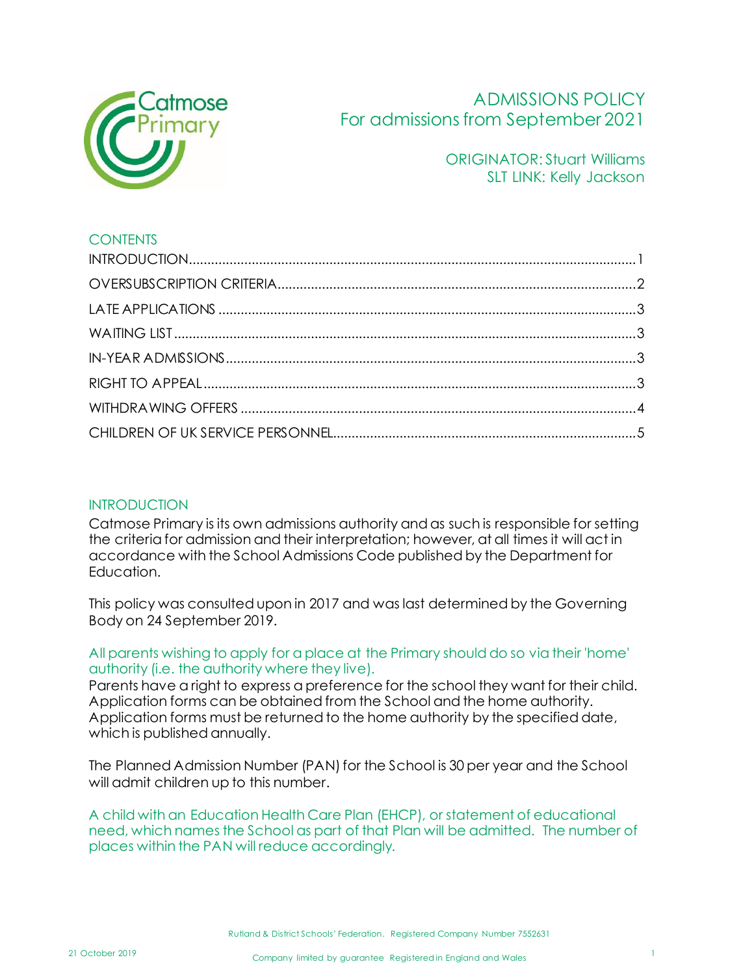

# ADMISSIONS POLICY For admissions from September 2021

ORIGINATOR: Stuart Williams SLT LINK: Kelly Jackson

# **CONTENTS**

# INTRODUCTION

Catmose Primary is its own admissions authority and as such is responsible for setting the criteria for admission and their interpretation; however, at all times it will act in accordance with the School Admissions Code published by the Department for Education.

This policy was consulted upon in 2017 and was last determined by the Governing Body on 24 September 2019.

# All parents wishing to apply for a place at the Primary should do so via their 'home' authority (i.e. the authority where they live).

Parents have a right to express a preference for the school they want for their child. Application forms can be obtained from the School and the home authority. Application forms must be returned to the home authority by the specified date, which is published annually.

The Planned Admission Number (PAN) for the School is 30 per year and the School will admit children up to this number.

A child with an Education Health Care Plan (EHCP), or statement of educational need, which names the School as part of that Plan will be admitted. The number of places within the PAN will reduce accordingly.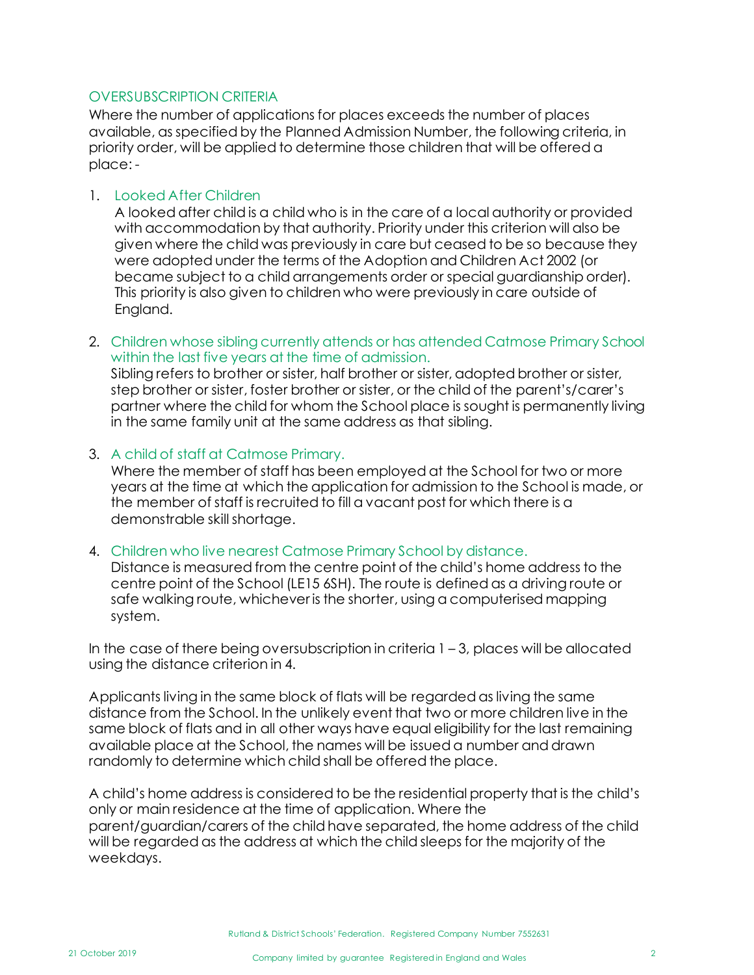### OVERSUBSCRIPTION CRITERIA

Where the number of applications for places exceeds the number of places available, as specified by the Planned Admission Number, the following criteria, in priority order, will be applied to determine those children that will be offered a place: -

#### 1. Looked After Children

A looked after child is a child who is in the care of a local authority or provided with accommodation by that authority. Priority under this criterion will also be given where the child was previously in care but ceased to be so because they were adopted under the terms of the Adoption and Children Act 2002 (or became subject to a child arrangements order or special guardianship order). This priority is also given to children who were previously in care outside of England.

2. Children whose sibling currently attends or has attended Catmose Primary School within the last five years at the time of admission.

Sibling refers to brother or sister, half brother or sister, adopted brother or sister, step brother or sister, foster brother or sister, or the child of the parent's/carer's partner where the child for whom the School place is sought is permanently living in the same family unit at the same address as that sibling.

### 3. A child of staff at Catmose Primary.

Where the member of staff has been employed at the School for two or more years at the time at which the application for admission to the School is made, or the member of staff is recruited to fill a vacant post for which there is a demonstrable skill shortage.

#### 4. Children who live nearest Catmose Primary School by distance.

Distance is measured from the centre point of the child's home address to the centre point of the School (LE15 6SH). The route is defined as a driving route or safe walking route, whichever is the shorter, using a computerised mapping system.

In the case of there being oversubscription in criteria  $1 - 3$ , places will be allocated using the distance criterion in 4.

Applicants living in the same block of flats will be regarded as living the same distance from the School. In the unlikely event that two or more children live in the same block of flats and in all other ways have equal eligibility for the last remaining available place at the School, the names will be issued a number and drawn randomly to determine which child shall be offered the place.

A child's home address is considered to be the residential property that is the child's only or main residence at the time of application. Where the parent/guardian/carers of the child have separated, the home address of the child will be regarded as the address at which the child sleeps for the majority of the weekdays.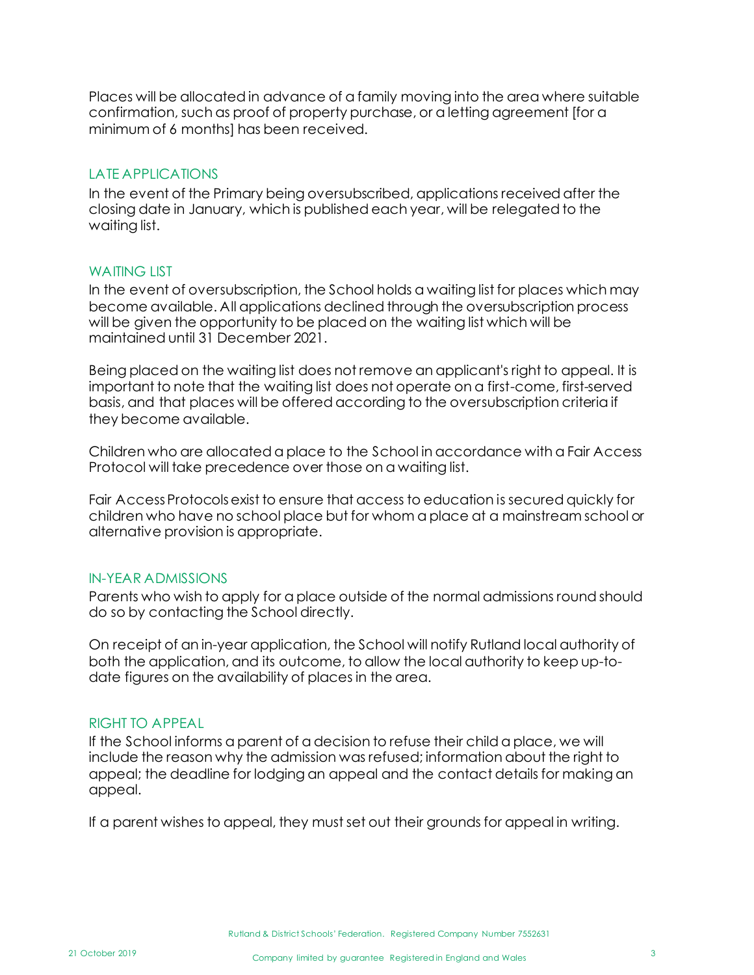Places will be allocated in advance of a family moving into the area where suitable confirmation, such as proof of property purchase, or a letting agreement [for a minimum of 6 months] has been received.

# LATE APPLICATIONS

In the event of the Primary being oversubscribed, applications received after the closing date in January, which is published each year, will be relegated to the waiting list.

### WAITING LIST

In the event of oversubscription, the School holds a waiting list for places which may become available. All applications declined through the oversubscription process will be given the opportunity to be placed on the waiting list which will be maintained until 31 December 2021.

Being placed on the waiting list does not remove an applicant's right to appeal. It is important to note that the waiting list does not operate on a first-come, first-served basis, and that places will be offered according to the oversubscription criteria if they become available.

Children who are allocated a place to the School in accordance with a Fair Access Protocol will take precedence over those on a waiting list.

Fair Access Protocols exist to ensure that access to education is secured quickly for children who have no school place but for whom a place at a mainstream school or alternative provision is appropriate.

### IN-YEAR ADMISSIONS

Parents who wish to apply for a place outside of the normal admissions round should do so by contacting the School directly.

On receipt of an in-year application, the School will notify Rutland local authority of both the application, and its outcome, to allow the local authority to keep up-todate figures on the availability of places in the area.

#### RIGHT TO APPEAL

If the School informs a parent of a decision to refuse their child a place, we will include the reason why the admission was refused; information about the right to appeal; the deadline for lodging an appeal and the contact details for making an appeal.

If a parent wishes to appeal, they must set out their grounds for appeal in writing.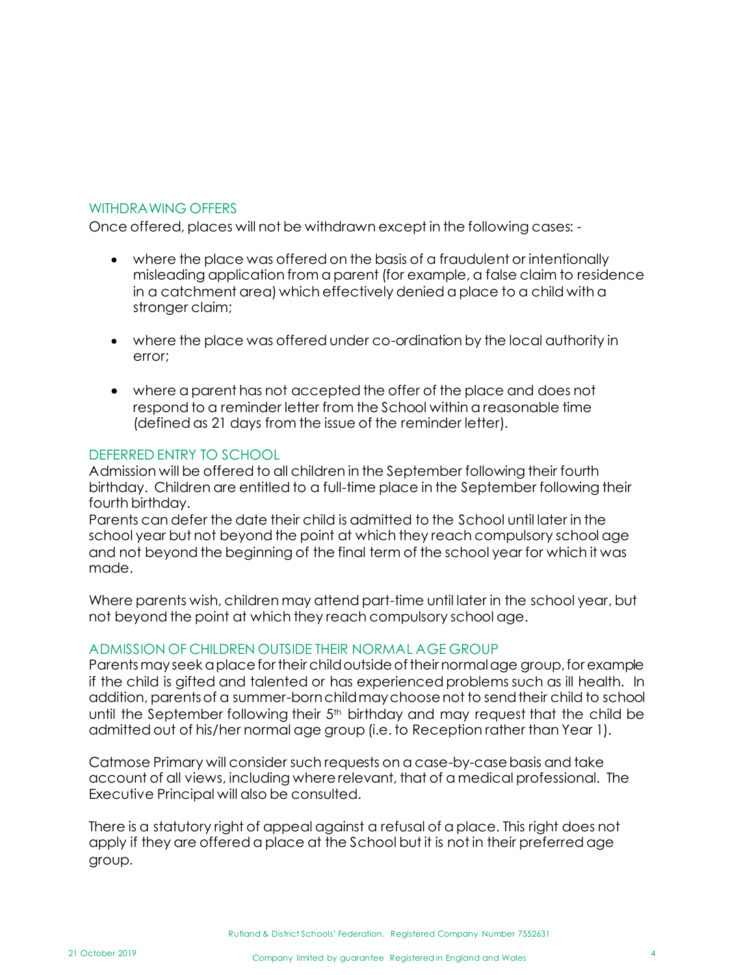#### WITHDRAWING OFFERS

Once offered, places will not be withdrawn except in the following cases: -

- where the place was offered on the basis of a fraudulent or intentionally misleading application from a parent (for example, a false claim to residence in a catchment area) which effectively denied a place to a child with a stronger claim;
- where the place was offered under co-ordination by the local authority in error;
- where a parent has not accepted the offer of the place and does not respond to a reminder letter from the School within a reasonable time (defined as 21 days from the issue of the reminder letter).

### DEFERRED ENTRY TO SCHOOL

Admission will be offered to all children in the September following their fourth birthday. Children are entitled to a full-time place in the September following their fourth birthday.

Parents can defer the date their child is admitted to the School until later in the school year but not beyond the point at which they reach compulsory school age and not beyond the beginning of the final term of the school year for which it was made.

Where parents wish, children may attend part-time until later in the school year, but not beyond the point at which they reach compulsory school age.

#### ADMISSION OF CHILDREN OUTSIDE THEIR NORMAL AGE GROUP

Parents may seek a place for their child outside of their normal age group, for example if the child is gifted and talented or has experienced problems such as ill health. In addition, parents of a summer-born child may choose not to send their child to school until the September following their 5<sup>th</sup> birthday and may request that the child be admitted out of his/her normal age group (i.e. to Reception rather than Year 1).

Catmose Primary will consider such requests on a case-by-case basis and take account of all views, including where relevant, that of a medical professional. The Executive Principal will also be consulted.

There is a statutory right of appeal against a refusal of a place. This right does not apply if they are offered a place at the School but it is not in their preferred age group.